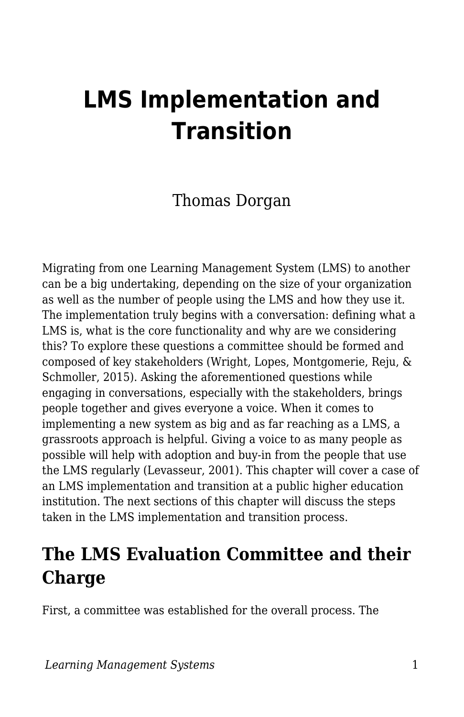# **LMS Implementation and Transition**

Thomas Dorgan

Migrating from one Learning Management System (LMS) to another can be a big undertaking, depending on the size of your organization as well as the number of people using the LMS and how they use it. The implementation truly begins with a conversation: defining what a LMS is, what is the core functionality and why are we considering this? To explore these questions a committee should be formed and composed of key stakeholders (Wright, Lopes, Montgomerie, Reju, & Schmoller, 2015). Asking the aforementioned questions while engaging in conversations, especially with the stakeholders, brings people together and gives everyone a voice. When it comes to implementing a new system as big and as far reaching as a LMS, a grassroots approach is helpful. Giving a voice to as many people as possible will help with adoption and buy-in from the people that use the LMS regularly (Levasseur, 2001). This chapter will cover a case of an LMS implementation and transition at a public higher education institution. The next sections of this chapter will discuss the steps taken in the LMS implementation and transition process.

## **The LMS Evaluation Committee and their Charge**

First, a committee was established for the overall process. The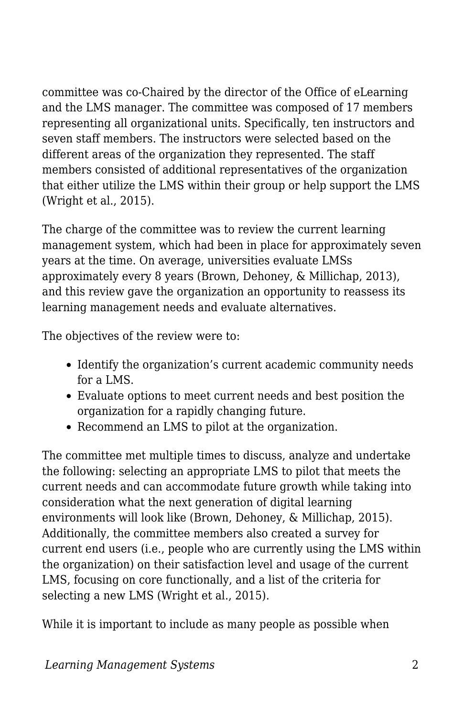committee was co-Chaired by the director of the Office of eLearning and the LMS manager. The committee was composed of 17 members representing all organizational units. Specifically, ten instructors and seven staff members. The instructors were selected based on the different areas of the organization they represented. The staff members consisted of additional representatives of the organization that either utilize the LMS within their group or help support the LMS (Wright et al., 2015).

The charge of the committee was to review the current learning management system, which had been in place for approximately seven years at the time. On average, universities evaluate LMSs approximately every 8 years (Brown, Dehoney, & Millichap, 2013), and this review gave the organization an opportunity to reassess its learning management needs and evaluate alternatives.

The objectives of the review were to:

- Identify the organization's current academic community needs for a LMS.
- Evaluate options to meet current needs and best position the organization for a rapidly changing future.
- Recommend an LMS to pilot at the organization.

The committee met multiple times to discuss, analyze and undertake the following: selecting an appropriate LMS to pilot that meets the current needs and can accommodate future growth while taking into consideration what the next generation of digital learning environments will look like (Brown, Dehoney, & Millichap, 2015). Additionally, the committee members also created a survey for current end users (i.e., people who are currently using the LMS within the organization) on their satisfaction level and usage of the current LMS, focusing on core functionally, and a list of the criteria for selecting a new LMS (Wright et al., 2015).

While it is important to include as many people as possible when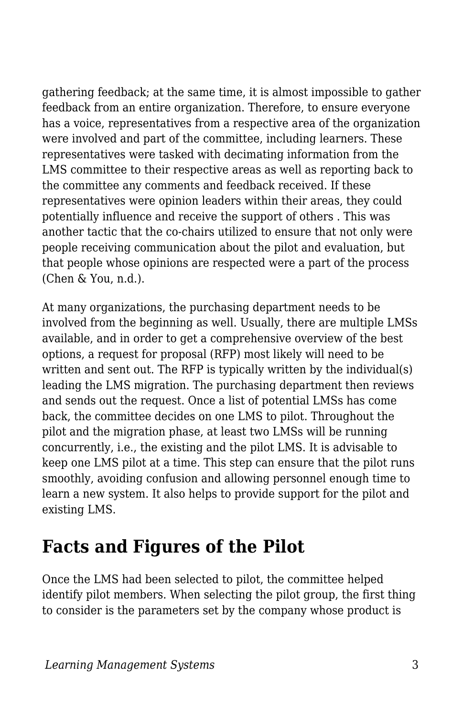gathering feedback; at the same time, it is almost impossible to gather feedback from an entire organization. Therefore, to ensure everyone has a voice, representatives from a respective area of the organization were involved and part of the committee, including learners. These representatives were tasked with decimating information from the LMS committee to their respective areas as well as reporting back to the committee any comments and feedback received. If these representatives were opinion leaders within their areas, they could potentially influence and receive the support of others . This was another tactic that the co-chairs utilized to ensure that not only were people receiving communication about the pilot and evaluation, but that people whose opinions are respected were a part of the process (Chen & You, n.d.).

At many organizations, the purchasing department needs to be involved from the beginning as well. Usually, there are multiple LMSs available, and in order to get a comprehensive overview of the best options, a request for proposal (RFP) most likely will need to be written and sent out. The RFP is typically written by the individual(s) leading the LMS migration. The purchasing department then reviews and sends out the request. Once a list of potential LMSs has come back, the committee decides on one LMS to pilot. Throughout the pilot and the migration phase, at least two LMSs will be running concurrently, i.e., the existing and the pilot LMS. It is advisable to keep one LMS pilot at a time. This step can ensure that the pilot runs smoothly, avoiding confusion and allowing personnel enough time to learn a new system. It also helps to provide support for the pilot and existing LMS.

### **Facts and Figures of the Pilot**

Once the LMS had been selected to pilot, the committee helped identify pilot members. When selecting the pilot group, the first thing to consider is the parameters set by the company whose product is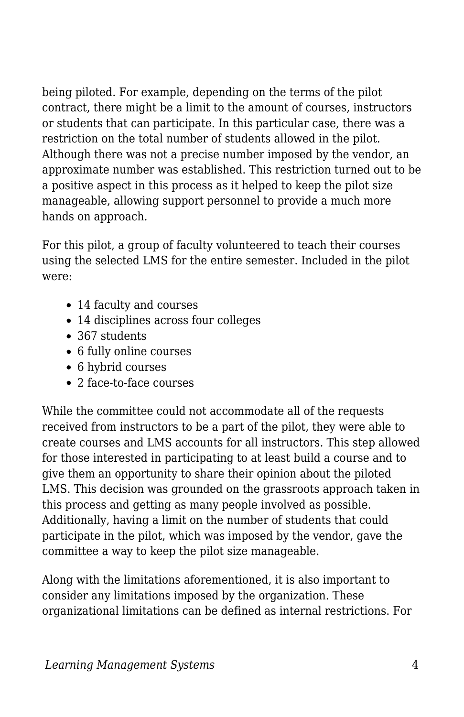being piloted. For example, depending on the terms of the pilot contract, there might be a limit to the amount of courses, instructors or students that can participate. In this particular case, there was a restriction on the total number of students allowed in the pilot. Although there was not a precise number imposed by the vendor, an approximate number was established. This restriction turned out to be a positive aspect in this process as it helped to keep the pilot size manageable, allowing support personnel to provide a much more hands on approach.

For this pilot, a group of faculty volunteered to teach their courses using the selected LMS for the entire semester. Included in the pilot were:

- 14 faculty and courses
- 14 disciplines across four colleges
- 367 students
- 6 fully online courses
- 6 hybrid courses
- 2 face-to-face courses

While the committee could not accommodate all of the requests received from instructors to be a part of the pilot, they were able to create courses and LMS accounts for all instructors. This step allowed for those interested in participating to at least build a course and to give them an opportunity to share their opinion about the piloted LMS. This decision was grounded on the grassroots approach taken in this process and getting as many people involved as possible. Additionally, having a limit on the number of students that could participate in the pilot, which was imposed by the vendor, gave the committee a way to keep the pilot size manageable.

Along with the limitations aforementioned, it is also important to consider any limitations imposed by the organization. These organizational limitations can be defined as internal restrictions. For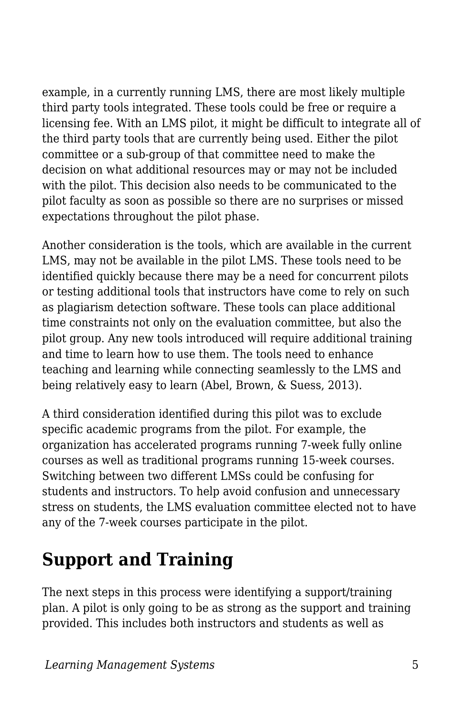example, in a currently running LMS, there are most likely multiple third party tools integrated. These tools could be free or require a licensing fee. With an LMS pilot, it might be difficult to integrate all of the third party tools that are currently being used. Either the pilot committee or a sub-group of that committee need to make the decision on what additional resources may or may not be included with the pilot. This decision also needs to be communicated to the pilot faculty as soon as possible so there are no surprises or missed expectations throughout the pilot phase.

Another consideration is the tools, which are available in the current LMS, may not be available in the pilot LMS. These tools need to be identified quickly because there may be a need for concurrent pilots or testing additional tools that instructors have come to rely on such as plagiarism detection software. These tools can place additional time constraints not only on the evaluation committee, but also the pilot group. Any new tools introduced will require additional training and time to learn how to use them. The tools need to enhance teaching and learning while connecting seamlessly to the LMS and being relatively easy to learn (Abel, Brown, & Suess, 2013).

A third consideration identified during this pilot was to exclude specific academic programs from the pilot. For example, the organization has accelerated programs running 7-week fully online courses as well as traditional programs running 15-week courses. Switching between two different LMSs could be confusing for students and instructors. To help avoid confusion and unnecessary stress on students, the LMS evaluation committee elected not to have any of the 7-week courses participate in the pilot.

## **Support and Training**

The next steps in this process were identifying a support/training plan. A pilot is only going to be as strong as the support and training provided. This includes both instructors and students as well as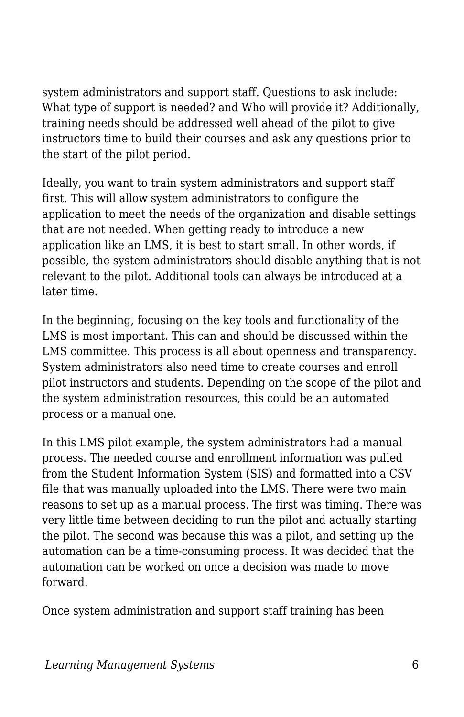system administrators and support staff. Questions to ask include: What type of support is needed? and Who will provide it? Additionally, training needs should be addressed well ahead of the pilot to give instructors time to build their courses and ask any questions prior to the start of the pilot period.

Ideally, you want to train system administrators and support staff first. This will allow system administrators to configure the application to meet the needs of the organization and disable settings that are not needed. When getting ready to introduce a new application like an LMS, it is best to start small. In other words, if possible, the system administrators should disable anything that is not relevant to the pilot. Additional tools can always be introduced at a later time.

In the beginning, focusing on the key tools and functionality of the LMS is most important. This can and should be discussed within the LMS committee. This process is all about openness and transparency. System administrators also need time to create courses and enroll pilot instructors and students. Depending on the scope of the pilot and the system administration resources, this could be an automated process or a manual one.

In this LMS pilot example, the system administrators had a manual process. The needed course and enrollment information was pulled from the Student Information System (SIS) and formatted into a CSV file that was manually uploaded into the LMS. There were two main reasons to set up as a manual process. The first was timing. There was very little time between deciding to run the pilot and actually starting the pilot. The second was because this was a pilot, and setting up the automation can be a time-consuming process. It was decided that the automation can be worked on once a decision was made to move forward.

Once system administration and support staff training has been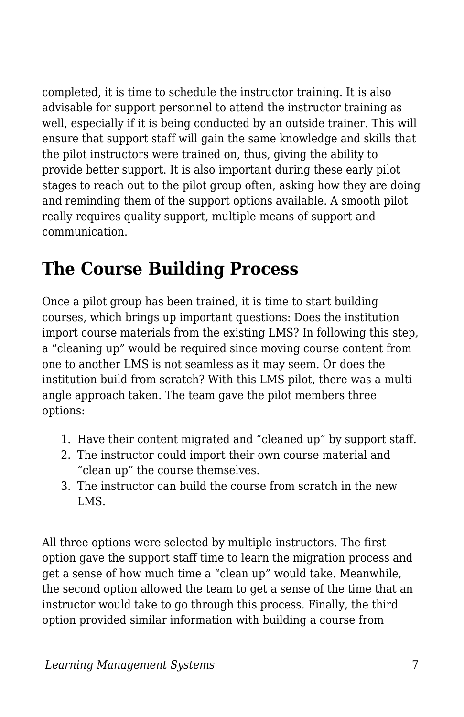completed, it is time to schedule the instructor training. It is also advisable for support personnel to attend the instructor training as well, especially if it is being conducted by an outside trainer. This will ensure that support staff will gain the same knowledge and skills that the pilot instructors were trained on, thus, giving the ability to provide better support. It is also important during these early pilot stages to reach out to the pilot group often, asking how they are doing and reminding them of the support options available. A smooth pilot really requires quality support, multiple means of support and communication.

# **The Course Building Process**

Once a pilot group has been trained, it is time to start building courses, which brings up important questions: Does the institution import course materials from the existing LMS? In following this step, a "cleaning up" would be required since moving course content from one to another LMS is not seamless as it may seem. Or does the institution build from scratch? With this LMS pilot, there was a multi angle approach taken. The team gave the pilot members three options:

- 1. Have their content migrated and "cleaned up" by support staff.
- 2. The instructor could import their own course material and "clean up" the course themselves.
- 3. The instructor can build the course from scratch in the new LMS.

All three options were selected by multiple instructors. The first option gave the support staff time to learn the migration process and get a sense of how much time a "clean up" would take. Meanwhile, the second option allowed the team to get a sense of the time that an instructor would take to go through this process. Finally, the third option provided similar information with building a course from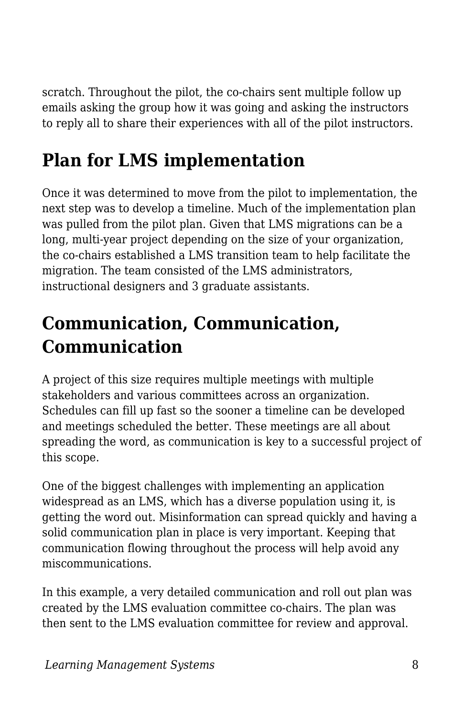scratch. Throughout the pilot, the co-chairs sent multiple follow up emails asking the group how it was going and asking the instructors to reply all to share their experiences with all of the pilot instructors.

# **Plan for LMS implementation**

Once it was determined to move from the pilot to implementation, the next step was to develop a timeline. Much of the implementation plan was pulled from the pilot plan. Given that LMS migrations can be a long, multi-year project depending on the size of your organization, the co-chairs established a LMS transition team to help facilitate the migration. The team consisted of the LMS administrators, instructional designers and 3 graduate assistants.

# **Communication, Communication, Communication**

A project of this size requires multiple meetings with multiple stakeholders and various committees across an organization. Schedules can fill up fast so the sooner a timeline can be developed and meetings scheduled the better. These meetings are all about spreading the word, as communication is key to a successful project of this scope.

One of the biggest challenges with implementing an application widespread as an LMS, which has a diverse population using it, is getting the word out. Misinformation can spread quickly and having a solid communication plan in place is very important. Keeping that communication flowing throughout the process will help avoid any miscommunications.

In this example, a very detailed communication and roll out plan was created by the LMS evaluation committee co-chairs. The plan was then sent to the LMS evaluation committee for review and approval.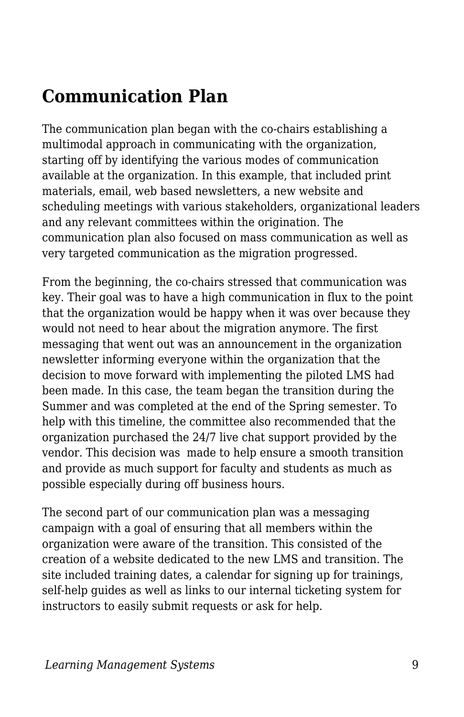## **Communication Plan**

The communication plan began with the co-chairs establishing a multimodal approach in communicating with the organization, starting off by identifying the various modes of communication available at the organization. In this example, that included print materials, email, web based newsletters, a new website and scheduling meetings with various stakeholders, organizational leaders and any relevant committees within the origination. The communication plan also focused on mass communication as well as very targeted communication as the migration progressed.

From the beginning, the co-chairs stressed that communication was key. Their goal was to have a high communication in flux to the point that the organization would be happy when it was over because they would not need to hear about the migration anymore. The first messaging that went out was an announcement in the organization newsletter informing everyone within the organization that the decision to move forward with implementing the piloted LMS had been made. In this case, the team began the transition during the Summer and was completed at the end of the Spring semester. To help with this timeline, the committee also recommended that the organization purchased the 24/7 live chat support provided by the vendor. This decision was made to help ensure a smooth transition and provide as much support for faculty and students as much as possible especially during off business hours.

The second part of our communication plan was a messaging campaign with a goal of ensuring that all members within the organization were aware of the transition. This consisted of the creation of a website dedicated to the new LMS and transition. The site included training dates, a calendar for signing up for trainings, self-help guides as well as links to our internal ticketing system for instructors to easily submit requests or ask for help.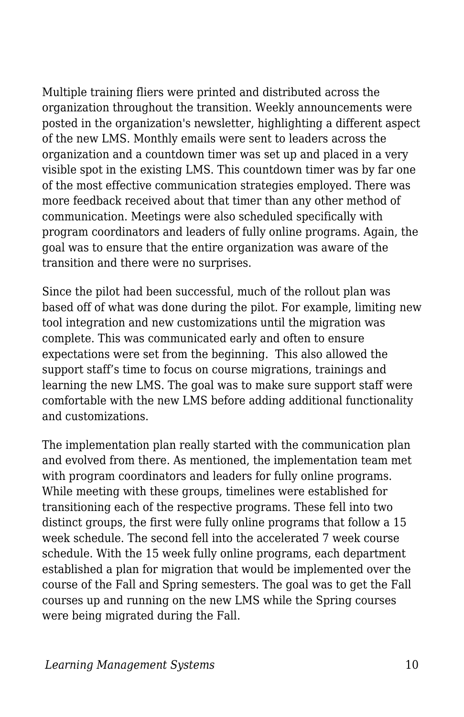Multiple training fliers were printed and distributed across the organization throughout the transition. Weekly announcements were posted in the organization's newsletter, highlighting a different aspect of the new LMS. Monthly emails were sent to leaders across the organization and a countdown timer was set up and placed in a very visible spot in the existing LMS. This countdown timer was by far one of the most effective communication strategies employed. There was more feedback received about that timer than any other method of communication. Meetings were also scheduled specifically with program coordinators and leaders of fully online programs. Again, the goal was to ensure that the entire organization was aware of the transition and there were no surprises.

Since the pilot had been successful, much of the rollout plan was based off of what was done during the pilot. For example, limiting new tool integration and new customizations until the migration was complete. This was communicated early and often to ensure expectations were set from the beginning. This also allowed the support staff's time to focus on course migrations, trainings and learning the new LMS. The goal was to make sure support staff were comfortable with the new LMS before adding additional functionality and customizations.

The implementation plan really started with the communication plan and evolved from there. As mentioned, the implementation team met with program coordinators and leaders for fully online programs. While meeting with these groups, timelines were established for transitioning each of the respective programs. These fell into two distinct groups, the first were fully online programs that follow a 15 week schedule. The second fell into the accelerated 7 week course schedule. With the 15 week fully online programs, each department established a plan for migration that would be implemented over the course of the Fall and Spring semesters. The goal was to get the Fall courses up and running on the new LMS while the Spring courses were being migrated during the Fall.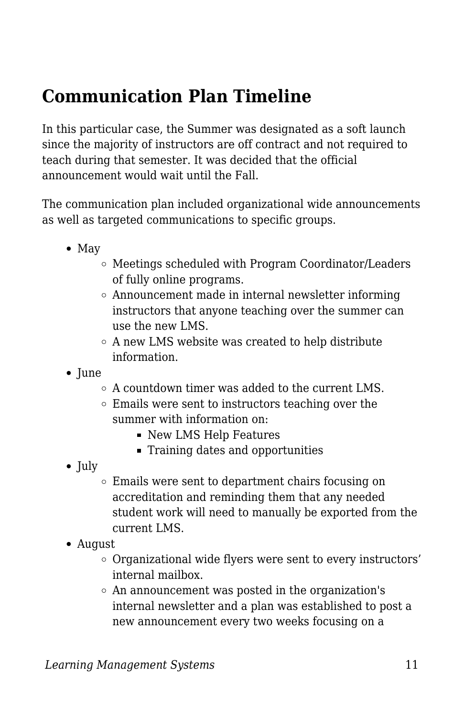# **Communication Plan Timeline**

In this particular case, the Summer was designated as a soft launch since the majority of instructors are off contract and not required to teach during that semester. It was decided that the official announcement would wait until the Fall.

The communication plan included organizational wide announcements as well as targeted communications to specific groups.

- $\bullet$  May
	- Meetings scheduled with Program Coordinator/Leaders of fully online programs.
	- Announcement made in internal newsletter informing instructors that anyone teaching over the summer can use the new LMS.
	- A new LMS website was created to help distribute information.
- June
	- A countdown timer was added to the current LMS.
	- Emails were sent to instructors teaching over the summer with information on:
		- New LMS Help Features
		- Training dates and opportunities
- July
	- Emails were sent to department chairs focusing on accreditation and reminding them that any needed student work will need to manually be exported from the current LMS.
- August
	- Organizational wide flyers were sent to every instructors' internal mailbox.
	- An announcement was posted in the organization's internal newsletter and a plan was established to post a new announcement every two weeks focusing on a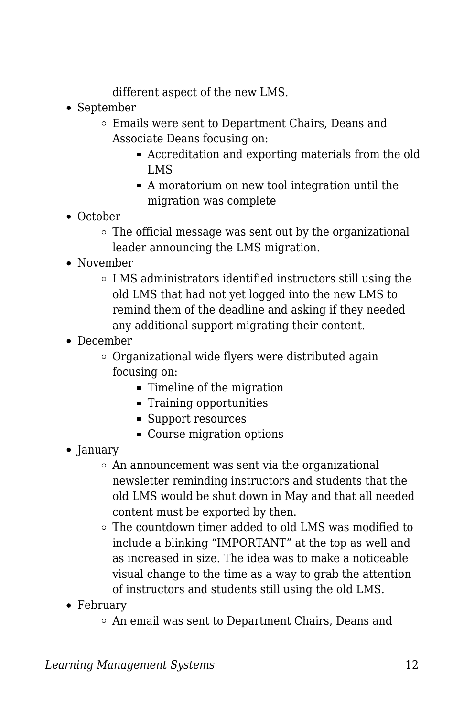different aspect of the new LMS.

- September
	- Emails were sent to Department Chairs, Deans and Associate Deans focusing on:
		- Accreditation and exporting materials from the old LMS
		- A moratorium on new tool integration until the migration was complete
- October
	- The official message was sent out by the organizational leader announcing the LMS migration.
- November
	- LMS administrators identified instructors still using the old LMS that had not yet logged into the new LMS to remind them of the deadline and asking if they needed any additional support migrating their content.
- December
	- Organizational wide flyers were distributed again focusing on:
		- Timeline of the migration
		- Training opportunities
		- Support resources
		- Course migration options
- January
	- $\circ$  An announcement was sent via the organizational newsletter reminding instructors and students that the old LMS would be shut down in May and that all needed content must be exported by then.
	- The countdown timer added to old LMS was modified to include a blinking "IMPORTANT" at the top as well and as increased in size. The idea was to make a noticeable visual change to the time as a way to grab the attention of instructors and students still using the old LMS.
- February
	- An email was sent to Department Chairs, Deans and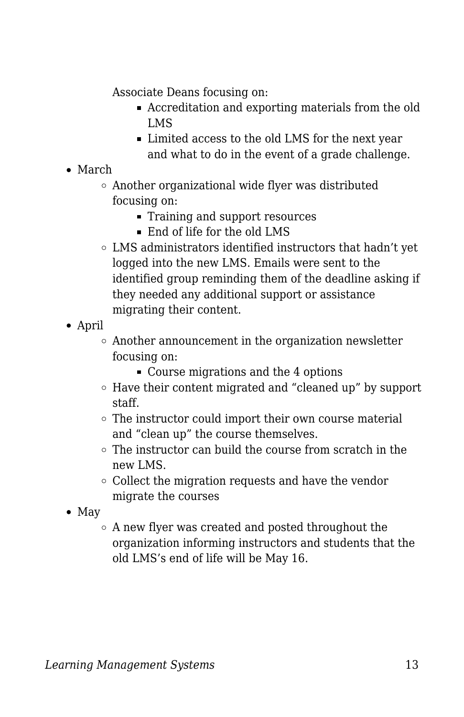Associate Deans focusing on:

- Accreditation and exporting materials from the old LMS
- Limited access to the old LMS for the next year and what to do in the event of a grade challenge.
- March
	- Another organizational wide flyer was distributed focusing on:
		- Training and support resources
		- End of life for the old LMS
	- LMS administrators identified instructors that hadn't yet logged into the new LMS. Emails were sent to the identified group reminding them of the deadline asking if they needed any additional support or assistance migrating their content.
- April
	- Another announcement in the organization newsletter focusing on:
		- Course migrations and the 4 options
	- Have their content migrated and "cleaned up" by support staff.
	- The instructor could import their own course material and "clean up" the course themselves.
	- The instructor can build the course from scratch in the new LMS.
	- Collect the migration requests and have the vendor migrate the courses

 $\bullet$  May

A new flyer was created and posted throughout the organization informing instructors and students that the old LMS's end of life will be May 16.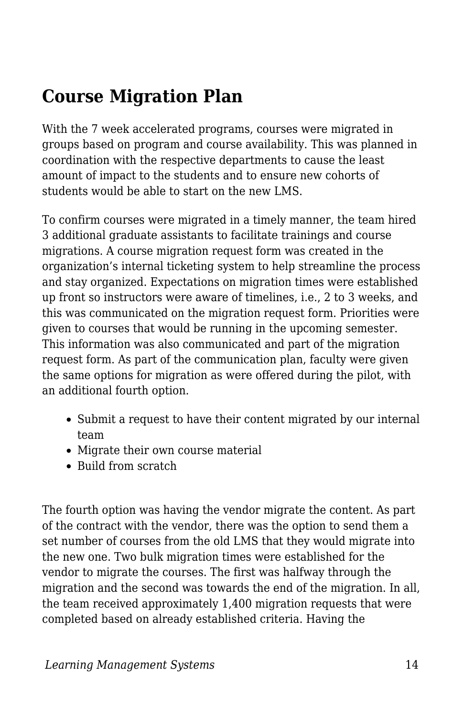# **Course Migration Plan**

With the 7 week accelerated programs, courses were migrated in groups based on program and course availability. This was planned in coordination with the respective departments to cause the least amount of impact to the students and to ensure new cohorts of students would be able to start on the new LMS.

To confirm courses were migrated in a timely manner, the team hired 3 additional graduate assistants to facilitate trainings and course migrations. A course migration request form was created in the organization's internal ticketing system to help streamline the process and stay organized. Expectations on migration times were established up front so instructors were aware of timelines, i.e., 2 to 3 weeks, and this was communicated on the migration request form. Priorities were given to courses that would be running in the upcoming semester. This information was also communicated and part of the migration request form. As part of the communication plan, faculty were given the same options for migration as were offered during the pilot, with an additional fourth option.

- Submit a request to have their content migrated by our internal team
- Migrate their own course material
- Build from scratch

The fourth option was having the vendor migrate the content. As part of the contract with the vendor, there was the option to send them a set number of courses from the old LMS that they would migrate into the new one. Two bulk migration times were established for the vendor to migrate the courses. The first was halfway through the migration and the second was towards the end of the migration. In all, the team received approximately 1,400 migration requests that were completed based on already established criteria. Having the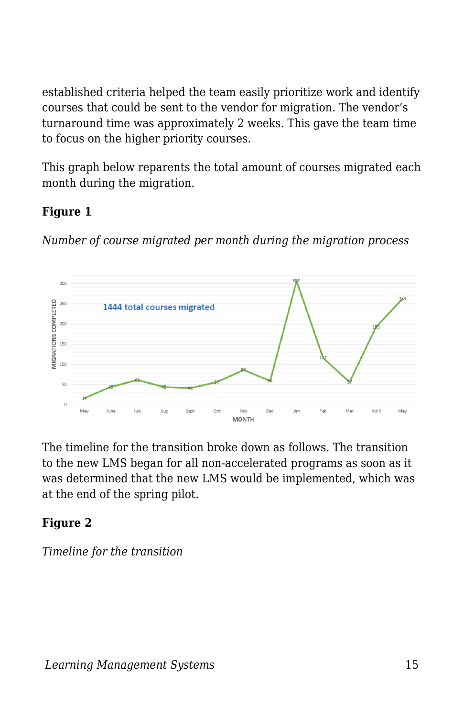established criteria helped the team easily prioritize work and identify courses that could be sent to the vendor for migration. The vendor's turnaround time was approximately 2 weeks. This gave the team time to focus on the higher priority courses.

This graph below reparents the total amount of courses migrated each month during the migration.

#### **Figure 1**



*Number of course migrated per month during the migration process*

The timeline for the transition broke down as follows. The transition to the new LMS began for all non-accelerated programs as soon as it was determined that the new LMS would be implemented, which was at the end of the spring pilot.

#### **Figure 2**

*Timeline for the transition*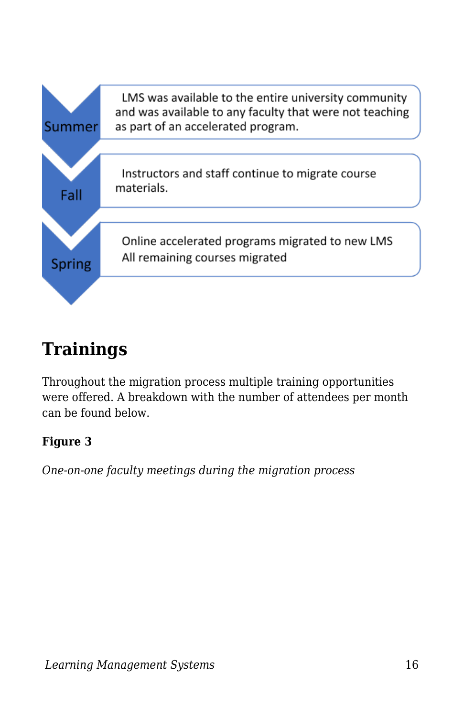

## **Trainings**

Throughout the migration process multiple training opportunities were offered. A breakdown with the number of attendees per month can be found below.

#### **Figure 3**

*One-on-one faculty meetings during the migration process*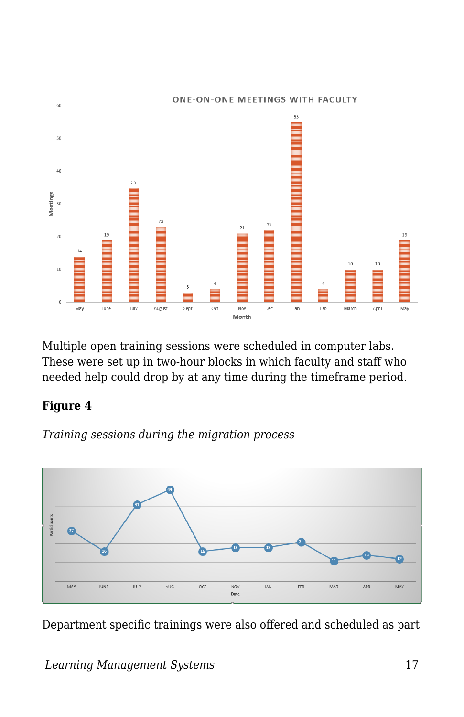

Multiple open training sessions were scheduled in computer labs. These were set up in two-hour blocks in which faculty and staff who needed help could drop by at any time during the timeframe period.

#### **Figure 4**





Department specific trainings were also offered and scheduled as part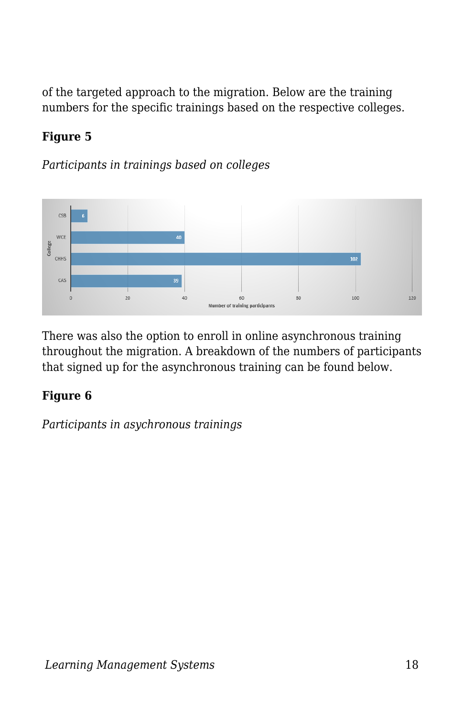of the targeted approach to the migration. Below are the training numbers for the specific trainings based on the respective colleges.

#### **Figure 5**

*Participants in trainings based on colleges*



There was also the option to enroll in online asynchronous training throughout the migration. A breakdown of the numbers of participants that signed up for the asynchronous training can be found below.

#### **Figure 6**

#### *Participants in asychronous trainings*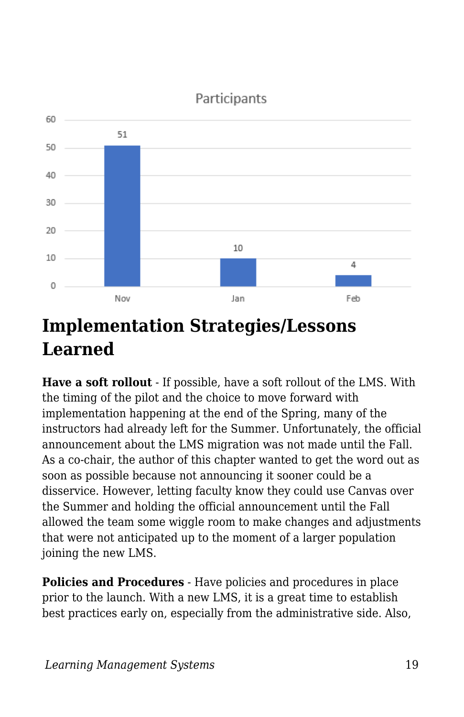

# **Implementation Strategies/Lessons Learned**

**Have a soft rollout** - If possible, have a soft rollout of the LMS. With the timing of the pilot and the choice to move forward with implementation happening at the end of the Spring, many of the instructors had already left for the Summer. Unfortunately, the official announcement about the LMS migration was not made until the Fall. As a co-chair, the author of this chapter wanted to get the word out as soon as possible because not announcing it sooner could be a disservice. However, letting faculty know they could use Canvas over the Summer and holding the official announcement until the Fall allowed the team some wiggle room to make changes and adjustments that were not anticipated up to the moment of a larger population joining the new LMS.

**Policies and Procedures** - Have policies and procedures in place prior to the launch. With a new LMS, it is a great time to establish best practices early on, especially from the administrative side. Also,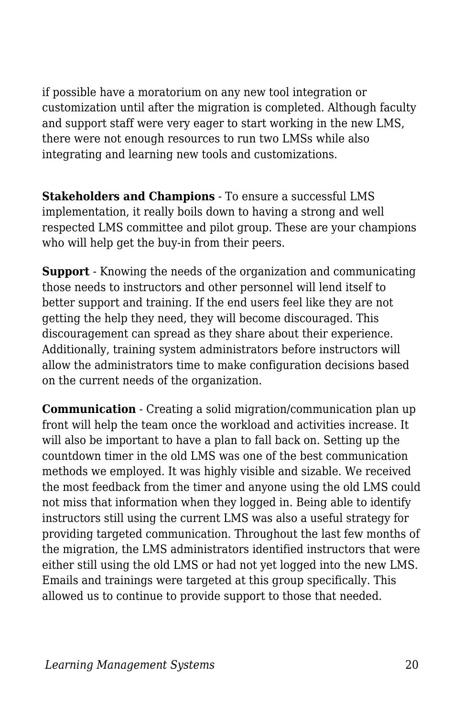if possible have a moratorium on any new tool integration or customization until after the migration is completed. Although faculty and support staff were very eager to start working in the new LMS, there were not enough resources to run two LMSs while also integrating and learning new tools and customizations.

**Stakeholders and Champions** - To ensure a successful LMS implementation, it really boils down to having a strong and well respected LMS committee and pilot group. These are your champions who will help get the buy-in from their peers.

**Support** - Knowing the needs of the organization and communicating those needs to instructors and other personnel will lend itself to better support and training. If the end users feel like they are not getting the help they need, they will become discouraged. This discouragement can spread as they share about their experience. Additionally, training system administrators before instructors will allow the administrators time to make configuration decisions based on the current needs of the organization.

**Communication** - Creating a solid migration/communication plan up front will help the team once the workload and activities increase. It will also be important to have a plan to fall back on. Setting up the countdown timer in the old LMS was one of the best communication methods we employed. It was highly visible and sizable. We received the most feedback from the timer and anyone using the old LMS could not miss that information when they logged in. Being able to identify instructors still using the current LMS was also a useful strategy for providing targeted communication. Throughout the last few months of the migration, the LMS administrators identified instructors that were either still using the old LMS or had not yet logged into the new LMS. Emails and trainings were targeted at this group specifically. This allowed us to continue to provide support to those that needed.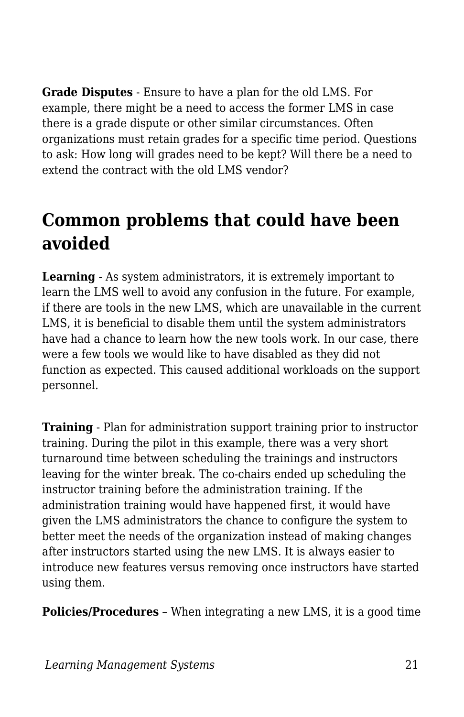**Grade Disputes** - Ensure to have a plan for the old LMS. For example, there might be a need to access the former LMS in case there is a grade dispute or other similar circumstances. Often organizations must retain grades for a specific time period. Questions to ask: How long will grades need to be kept? Will there be a need to extend the contract with the old LMS vendor?

### **Common problems that could have been avoided**

**Learning** - As system administrators, it is extremely important to learn the LMS well to avoid any confusion in the future. For example, if there are tools in the new LMS, which are unavailable in the current LMS, it is beneficial to disable them until the system administrators have had a chance to learn how the new tools work. In our case, there were a few tools we would like to have disabled as they did not function as expected. This caused additional workloads on the support personnel.

**Training** - Plan for administration support training prior to instructor training. During the pilot in this example, there was a very short turnaround time between scheduling the trainings and instructors leaving for the winter break. The co-chairs ended up scheduling the instructor training before the administration training. If the administration training would have happened first, it would have given the LMS administrators the chance to configure the system to better meet the needs of the organization instead of making changes after instructors started using the new LMS. It is always easier to introduce new features versus removing once instructors have started using them.

**Policies/Procedures** - When integrating a new LMS, it is a good time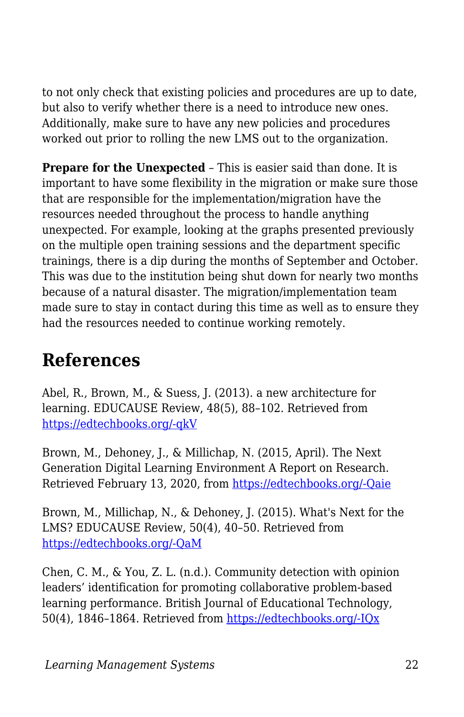to not only check that existing policies and procedures are up to date, but also to verify whether there is a need to introduce new ones. Additionally, make sure to have any new policies and procedures worked out prior to rolling the new LMS out to the organization.

**Prepare for the Unexpected** - This is easier said than done. It is important to have some flexibility in the migration or make sure those that are responsible for the implementation/migration have the resources needed throughout the process to handle anything unexpected. For example, looking at the graphs presented previously on the multiple open training sessions and the department specific trainings, there is a dip during the months of September and October. This was due to the institution being shut down for nearly two months because of a natural disaster. The migration/implementation team made sure to stay in contact during this time as well as to ensure they had the resources needed to continue working remotely.

### **References**

Abel, R., Brown, M., & Suess, J. (2013). a new architecture for learning. EDUCAUSE Review, 48(5), 88–102. Retrieved from [https://edtechbooks.org/-qkV](https://www.google.com/url?q=https://er.educause.edu/articles/2013/10/a-new-architecture-for-learning&sa=D&ust=1585948670145000)

Brown, M., Dehoney, J., & Millichap, N. (2015, April). The Next Generation Digital Learning Environment A Report on Research. Retrieved February 13, 2020, from [https://edtechbooks.org/-Qaie](https://www.google.com/url?q=https://library.educause.edu/-/media/files/library/2015/4/eli3035-pdf.pdf&sa=D&ust=1585948670145000)

Brown, M., Millichap, N., & Dehoney, J. (2015). What's Next for the LMS? EDUCAUSE Review, 50(4), 40–50. Retrieved from [https://edtechbooks.org/-QaM](https://www.google.com/url?q=https://er.educause.edu/articles/2015/6/whats-next-for-the-lms&sa=D&ust=1585948670145000)

Chen, C. M., & You, Z. L. (n.d.). Community detection with opinion leaders' identification for promoting collaborative problem-based learning performance. British Journal of Educational Technology, 50(4), 1846–1864. Retrieved from [https://edtechbooks.org/-IQx](https://www.google.com/url?q=https://onlinelibrary-wiley-com.liblink.uncw.edu/doi/abs/10.1111/bjet.12673&sa=D&ust=1585948670146000)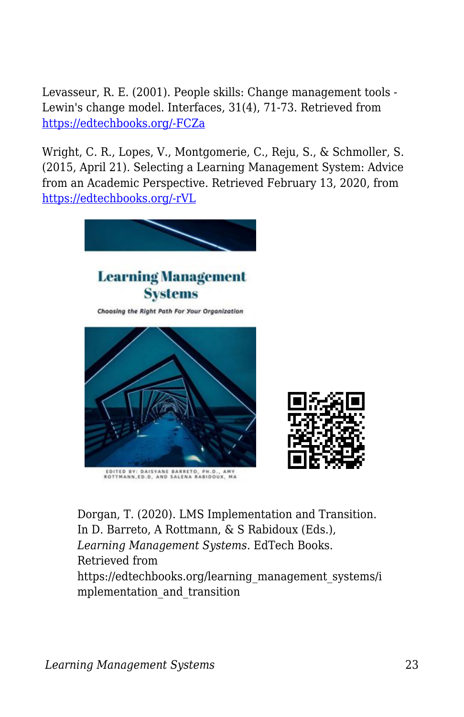Levasseur, R. E. (2001). People skills: Change management tools - Lewin's change model. Interfaces, 31(4), 71-73. Retrieved from [https://edtechbooks.org/-FCZa](https://www.google.com/url?q=https://search-proquest-com.liblink.uncw.edu/docview/217124358?accountid%3D14606&sa=D&ust=1585948670146000)

Wright, C. R., Lopes, V., Montgomerie, C., Reju, S., & Schmoller, S. (2015, April 21). Selecting a Learning Management System: Advice from an Academic Perspective. Retrieved February 13, 2020, from [https://edtechbooks.org/-rVL](https://www.google.com/url?q=https://er.educause.edu/articles/2014/4/selecting-a-learning-management-system-advice-from-an-academic-perspective&sa=D&ust=1585948670147000)



Dorgan, T. (2020). LMS Implementation and Transition. In D. Barreto, A Rottmann, & S Rabidoux (Eds.), *Learning Management Systems*. EdTech Books. Retrieved from

https://edtechbooks.org/learning\_management\_systems/i mplementation\_and\_transition